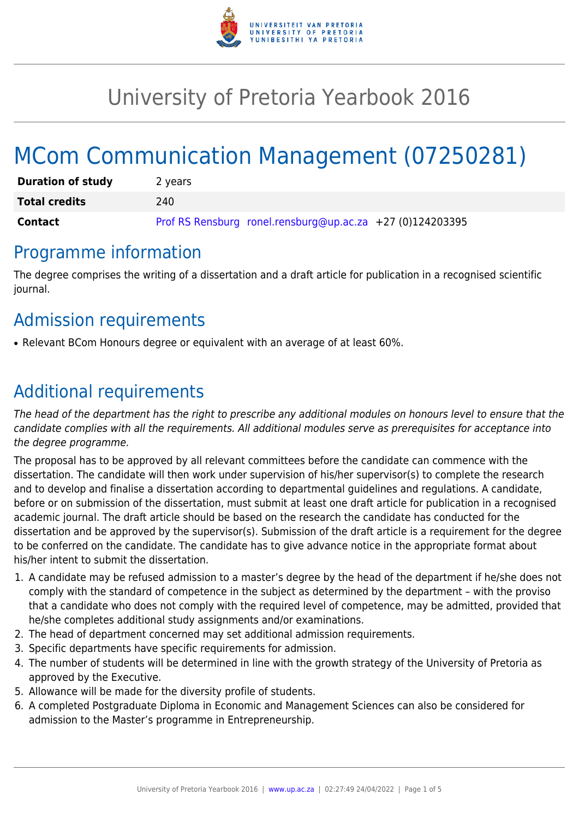

# University of Pretoria Yearbook 2016

# MCom Communication Management (07250281)

| <b>Duration of study</b> | 2 years                                                   |
|--------------------------|-----------------------------------------------------------|
| <b>Total credits</b>     | 240                                                       |
| Contact                  | Prof RS Rensburg ronel.rensburg@up.ac.za +27 (0)124203395 |

### Programme information

The degree comprises the writing of a dissertation and a draft article for publication in a recognised scientific journal.

# Admission requirements

• Relevant BCom Honours degree or equivalent with an average of at least 60%.

# Additional requirements

The head of the department has the right to prescribe any additional modules on honours level to ensure that the candidate complies with all the requirements. All additional modules serve as prerequisites for acceptance into the degree programme.

The proposal has to be approved by all relevant committees before the candidate can commence with the dissertation. The candidate will then work under supervision of his/her supervisor(s) to complete the research and to develop and finalise a dissertation according to departmental guidelines and regulations. A candidate, before or on submission of the dissertation, must submit at least one draft article for publication in a recognised academic journal. The draft article should be based on the research the candidate has conducted for the dissertation and be approved by the supervisor(s). Submission of the draft article is a requirement for the degree to be conferred on the candidate. The candidate has to give advance notice in the appropriate format about his/her intent to submit the dissertation.

- 1. A candidate may be refused admission to a master's degree by the head of the department if he/she does not comply with the standard of competence in the subject as determined by the department – with the proviso that a candidate who does not comply with the required level of competence, may be admitted, provided that he/she completes additional study assignments and/or examinations.
- 2. The head of department concerned may set additional admission requirements.
- 3. Specific departments have specific requirements for admission.
- 4. The number of students will be determined in line with the growth strategy of the University of Pretoria as approved by the Executive.
- 5. Allowance will be made for the diversity profile of students.
- 6. A completed Postgraduate Diploma in Economic and Management Sciences can also be considered for admission to the Master's programme in Entrepreneurship.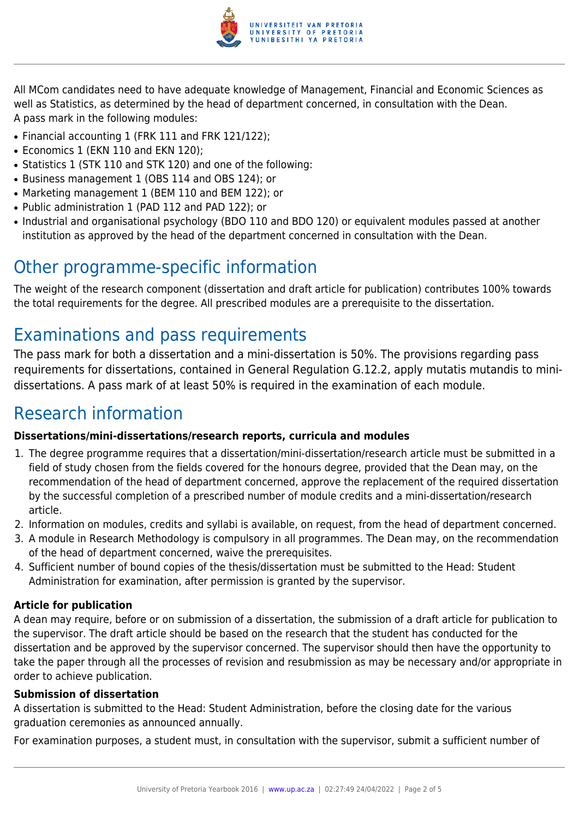

All MCom candidates need to have adequate knowledge of Management, Financial and Economic Sciences as well as Statistics, as determined by the head of department concerned, in consultation with the Dean. A pass mark in the following modules:

- Financial accounting 1 (FRK 111 and FRK 121/122);
- Economics 1 (EKN 110 and EKN 120):
- Statistics 1 (STK 110 and STK 120) and one of the following:
- Business management 1 (OBS 114 and OBS 124); or
- Marketing management 1 (BEM 110 and BEM 122); or
- Public administration 1 (PAD 112 and PAD 122); or
- Industrial and organisational psychology (BDO 110 and BDO 120) or equivalent modules passed at another institution as approved by the head of the department concerned in consultation with the Dean.

## Other programme-specific information

The weight of the research component (dissertation and draft article for publication) contributes 100% towards the total requirements for the degree. All prescribed modules are a prerequisite to the dissertation.

# Examinations and pass requirements

The pass mark for both a dissertation and a mini-dissertation is 50%. The provisions regarding pass requirements for dissertations, contained in General Regulation G.12.2, apply mutatis mutandis to minidissertations. A pass mark of at least 50% is required in the examination of each module.

### Research information

#### **Dissertations/mini-dissertations/research reports, curricula and modules**

- 1. The degree programme requires that a dissertation/mini-dissertation/research article must be submitted in a field of study chosen from the fields covered for the honours degree, provided that the Dean may, on the recommendation of the head of department concerned, approve the replacement of the required dissertation by the successful completion of a prescribed number of module credits and a mini-dissertation/research article.
- 2. Information on modules, credits and syllabi is available, on request, from the head of department concerned.
- 3. A module in Research Methodology is compulsory in all programmes. The Dean may, on the recommendation of the head of department concerned, waive the prerequisites.
- 4. Sufficient number of bound copies of the thesis/dissertation must be submitted to the Head: Student Administration for examination, after permission is granted by the supervisor.

#### **Article for publication**

A dean may require, before or on submission of a dissertation, the submission of a draft article for publication to the supervisor. The draft article should be based on the research that the student has conducted for the dissertation and be approved by the supervisor concerned. The supervisor should then have the opportunity to take the paper through all the processes of revision and resubmission as may be necessary and/or appropriate in order to achieve publication.

#### **Submission of dissertation**

A dissertation is submitted to the Head: Student Administration, before the closing date for the various graduation ceremonies as announced annually.

For examination purposes, a student must, in consultation with the supervisor, submit a sufficient number of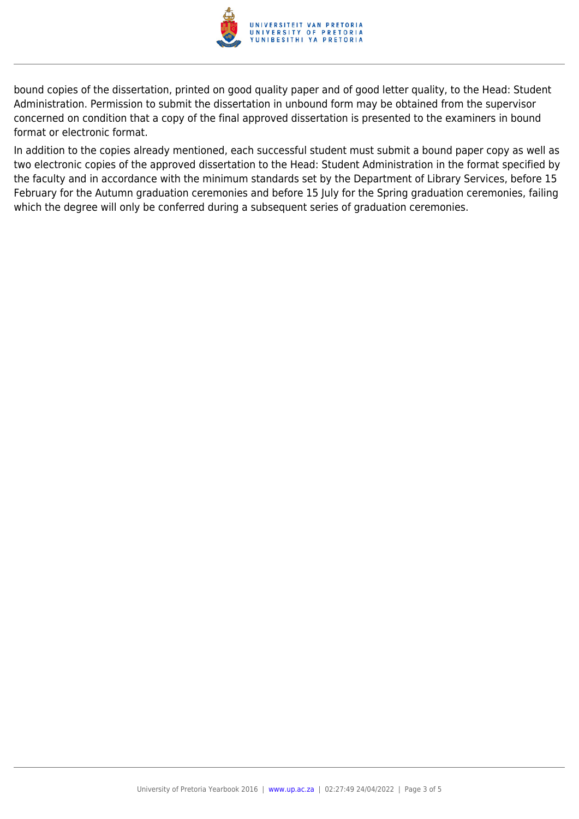

bound copies of the dissertation, printed on good quality paper and of good letter quality, to the Head: Student Administration. Permission to submit the dissertation in unbound form may be obtained from the supervisor concerned on condition that a copy of the final approved dissertation is presented to the examiners in bound format or electronic format.

In addition to the copies already mentioned, each successful student must submit a bound paper copy as well as two electronic copies of the approved dissertation to the Head: Student Administration in the format specified by the faculty and in accordance with the minimum standards set by the Department of Library Services, before 15 February for the Autumn graduation ceremonies and before 15 July for the Spring graduation ceremonies, failing which the degree will only be conferred during a subsequent series of graduation ceremonies.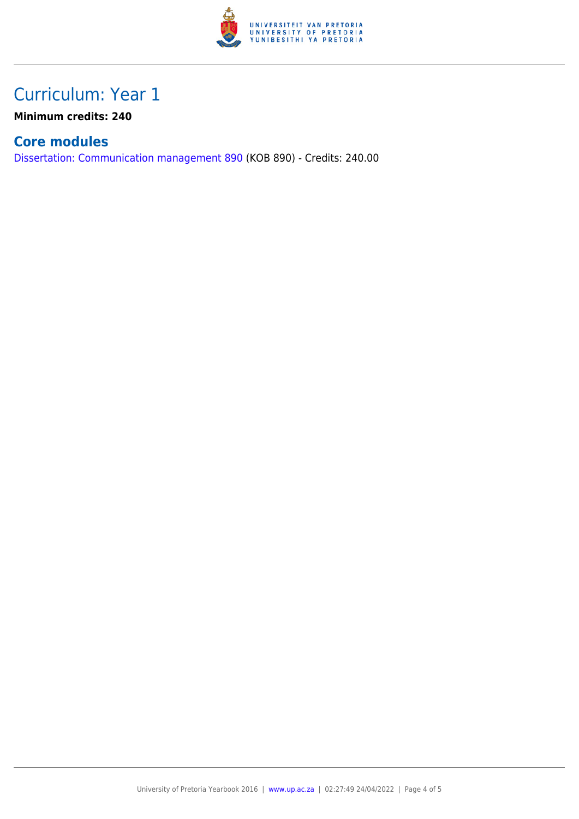

### Curriculum: Year 1

**Minimum credits: 240**

#### **Core modules**

[Dissertation: Communication management 890](https://www.up.ac.za/yearbooks/2016/modules/view/KOB 890) (KOB 890) - Credits: 240.00